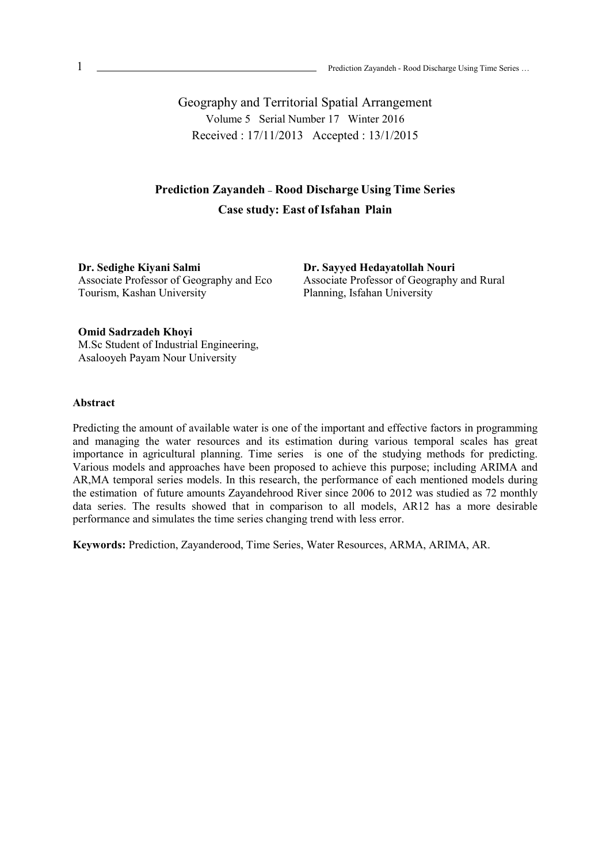Geography and Territorial Spatial Arrangement Volume 5 Serial Number 17 Winter 2016 Received : 17/11/2013 Accepted : 13/1/2015

# **Prediction Zayandeh - Rood Discharge Using Time Series Case study: East ofIsfahan Plain**

**Dr. Sedighe Kiyani Salmi**  Associate Professor of Geography and Eco Tourism, Kashan University

**Dr. Sayyed Hedayatollah Nouri**  Associate Professor of Geography and Rural Planning, Isfahan University

**Omid Sadrzadeh Khoyi**  M.Sc Student of Industrial Engineering, Asalooyeh Payam Nour University

### **Abstract**

Predicting the amount of available water is one of the important and effective factors in programming and managing the water resources and its estimation during various temporal scales has great importance in agricultural planning. Time series is one of the studying methods for predicting. Various models and approaches have been proposed to achieve this purpose; including ARIMA and AR,MA temporal series models. In this research, the performance of each mentioned models during the estimation of future amounts Zayandehrood River since 2006 to 2012 was studied as 72 monthly data series. The results showed that in comparison to all models, AR12 has a more desirable performance and simulates the time series changing trend with less error.

**Keywords:** Prediction, Zayanderood, Time Series, Water Resources, ARMA, ARIMA, AR.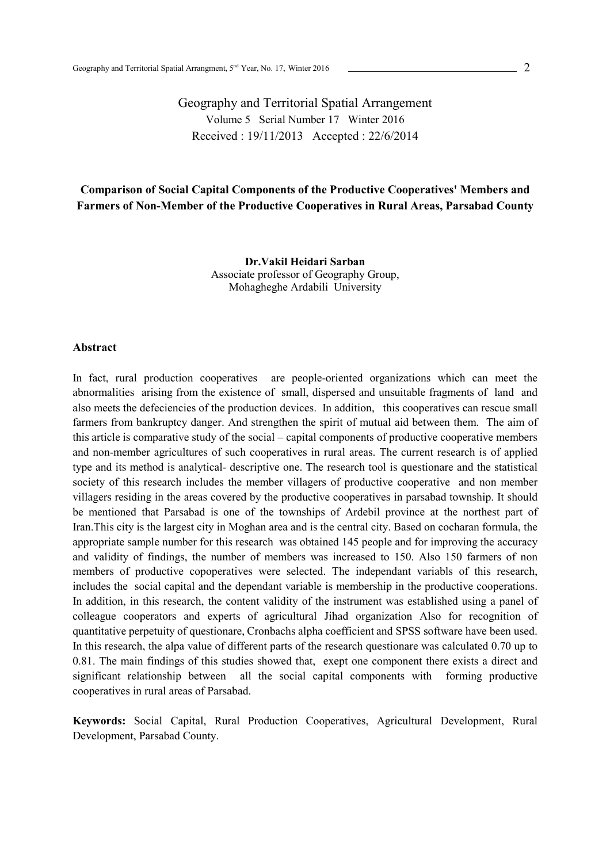Geography and Territorial Spatial Arrangement Volume 5 Serial Number 17 Winter 2016 Received : 19/11/2013 Accepted : 22/6/2014

### **Comparison of Social Capital Components of the Productive Cooperatives' Members and Farmers of Non-Member of the Productive Cooperatives in Rural Areas, Parsabad County**

**Dr.Vakil Heidari Sarban**  Associate professor of Geography Group, Mohagheghe Ardabili University

### **Abstract**

In fact, rural production cooperatives are people-oriented organizations which can meet the abnormalities arising from the existence of small, dispersed and unsuitable fragments of land and also meets the defeciencies of the production devices. In addition, this cooperatives can rescue small farmers from bankruptcy danger. And strengthen the spirit of mutual aid between them. The aim of this article is comparative study of the social – capital components of productive cooperative members and non-member agricultures of such cooperatives in rural areas. The current research is of applied type and its method is analytical- descriptive one. The research tool is questionare and the statistical society of this research includes the member villagers of productive cooperative and non member villagers residing in the areas covered by the productive cooperatives in parsabad township. It should be mentioned that Parsabad is one of the townships of Ardebil province at the northest part of Iran.This city is the largest city in Moghan area and is the central city. Based on cocharan formula, the appropriate sample number for this research was obtained 145 people and for improving the accuracy and validity of findings, the number of members was increased to 150. Also 150 farmers of non members of productive copoperatives were selected. The independant variabls of this research, includes the social capital and the dependant variable is membership in the productive cooperations. In addition, in this research, the content validity of the instrument was established using a panel of colleague cooperators and experts of agricultural Jihad organization Also for recognition of quantitative perpetuity of questionare, Cronbachs alpha coefficient and SPSS software have been used. In this research, the alpa value of different parts of the research questionare was calculated 0.70 up to 0.81. The main findings of this studies showed that, exept one component there exists a direct and significant relationship between all the social capital components with forming productive cooperatives in rural areas of Parsabad.

**Keywords:** Social Capital, Rural Production Cooperatives, Agricultural Development, Rural Development, Parsabad County.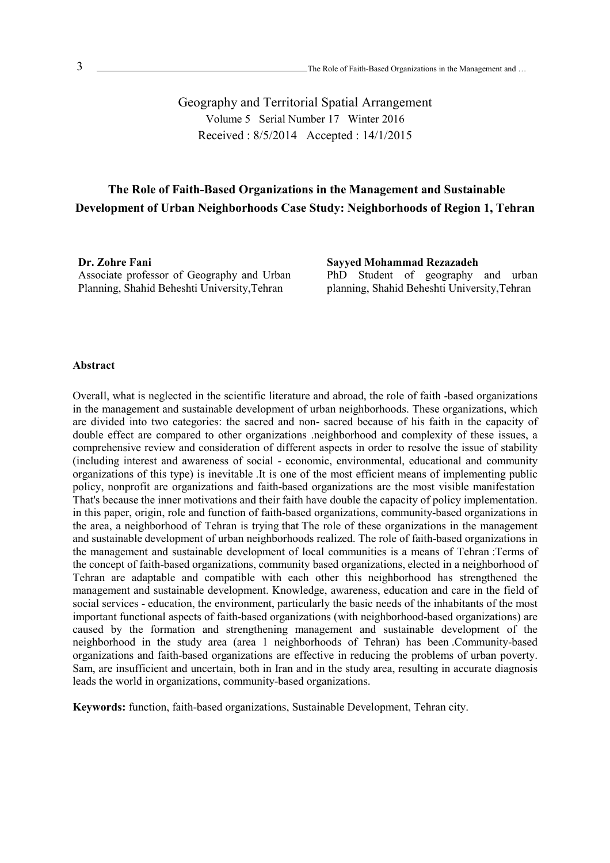Geography and Territorial Spatial Arrangement Volume 5 Serial Number 17 Winter 2016 Received : 8/5/2014 Accepted : 14/1/2015

## **The Role of Faith-Based Organizations in the Management and Sustainable Development of Urban Neighborhoods Case Study: Neighborhoods of Region 1, Tehran**

**Dr. Zohre Fani**  Associate professor of Geography and Urban Planning, Shahid Beheshti University,Tehran

**Sayyed Mohammad Rezazadeh** 

PhD Student of geography and urban planning, Shahid Beheshti University,Tehran

### **Abstract**

Overall, what is neglected in the scientific literature and abroad, the role of faith -based organizations in the management and sustainable development of urban neighborhoods. These organizations, which are divided into two categories: the sacred and non- sacred because of his faith in the capacity of double effect are compared to other organizations .neighborhood and complexity of these issues, a comprehensive review and consideration of different aspects in order to resolve the issue of stability (including interest and awareness of social - economic, environmental, educational and community organizations of this type) is inevitable .It is one of the most efficient means of implementing public policy, nonprofit are organizations and faith-based organizations are the most visible manifestation That's because the inner motivations and their faith have double the capacity of policy implementation. in this paper, origin, role and function of faith-based organizations, community-based organizations in the area, a neighborhood of Tehran is trying that The role of these organizations in the management and sustainable development of urban neighborhoods realized. The role of faith-based organizations in the management and sustainable development of local communities is a means of Tehran :Terms of the concept of faith-based organizations, community based organizations, elected in a neighborhood of Tehran are adaptable and compatible with each other this neighborhood has strengthened the management and sustainable development. Knowledge, awareness, education and care in the field of social services - education, the environment, particularly the basic needs of the inhabitants of the most important functional aspects of faith-based organizations (with neighborhood-based organizations) are caused by the formation and strengthening management and sustainable development of the neighborhood in the study area (area 1 neighborhoods of Tehran) has been .Community-based organizations and faith-based organizations are effective in reducing the problems of urban poverty. Sam, are insufficient and uncertain, both in Iran and in the study area, resulting in accurate diagnosis leads the world in organizations, community-based organizations.

**Keywords:** function, faith-based organizations, Sustainable Development, Tehran city.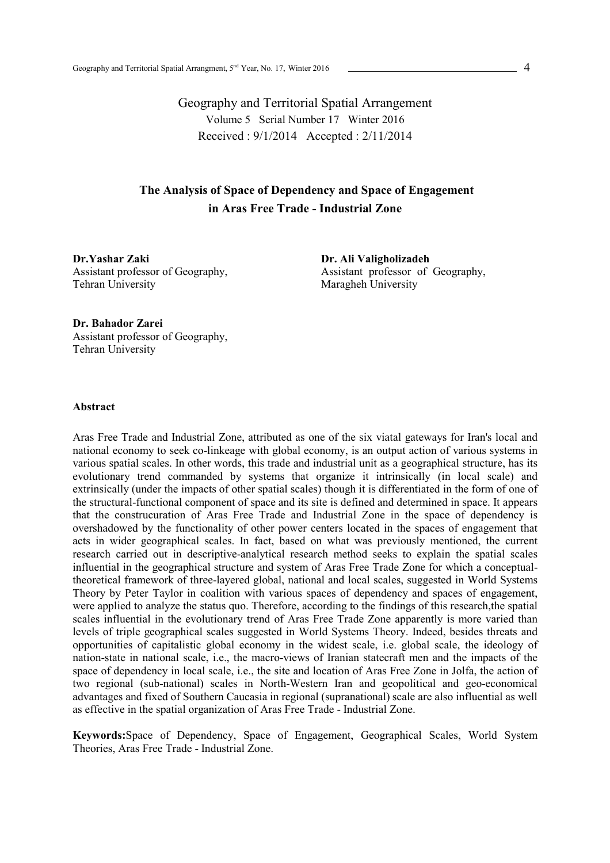Geography and Territorial Spatial Arrangement Volume 5 Serial Number 17 Winter 2016 Received : 9/1/2014 Accepted : 2/11/2014

## **The Analysis of Space of Dependency and Space of Engagement in Aras Free Trade - Industrial Zone**

**Dr.Yashar Zaki** Assistant professor of Geography, Tehran University

**Dr. Ali Valigholizadeh** Assistant professor of Geography, Maragheh University

**Dr. Bahador Zarei**  Assistant professor of Geography, Tehran University

### **Abstract**

Aras Free Trade and Industrial Zone, attributed as one of the six viatal gateways for Iran's local and national economy to seek co-linkeage with global economy, is an output action of various systems in various spatial scales. In other words, this trade and industrial unit as a geographical structure, has its evolutionary trend commanded by systems that organize it intrinsically (in local scale) and extrinsically (under the impacts of other spatial scales) though it is differentiated in the form of one of the structural-functional component of space and its site is defined and determined in space. It appears that the construcuration of Aras Free Trade and Industrial Zone in the space of dependency is overshadowed by the functionality of other power centers located in the spaces of engagement that acts in wider geographical scales. In fact, based on what was previously mentioned, the current research carried out in descriptive-analytical research method seeks to explain the spatial scales influential in the geographical structure and system of Aras Free Trade Zone for which a conceptualtheoretical framework of three-layered global, national and local scales, suggested in World Systems Theory by Peter Taylor in coalition with various spaces of dependency and spaces of engagement, were applied to analyze the status quo. Therefore, according to the findings of this research,the spatial scales influential in the evolutionary trend of Aras Free Trade Zone apparently is more varied than levels of triple geographical scales suggested in World Systems Theory. Indeed, besides threats and opportunities of capitalistic global economy in the widest scale, i.e. global scale, the ideology of nation-state in national scale, i.e., the macro-views of Iranian statecraft men and the impacts of the space of dependency in local scale, i.e., the site and location of Aras Free Zone in Jolfa, the action of two regional (sub-national) scales in North-Western Iran and geopolitical and geo-economical advantages and fixed of Southern Caucasia in regional (supranational) scale are also influential as well as effective in the spatial organization of Aras Free Trade - Industrial Zone.

**Keywords:**Space of Dependency, Space of Engagement, Geographical Scales, World System Theories, Aras Free Trade - Industrial Zone.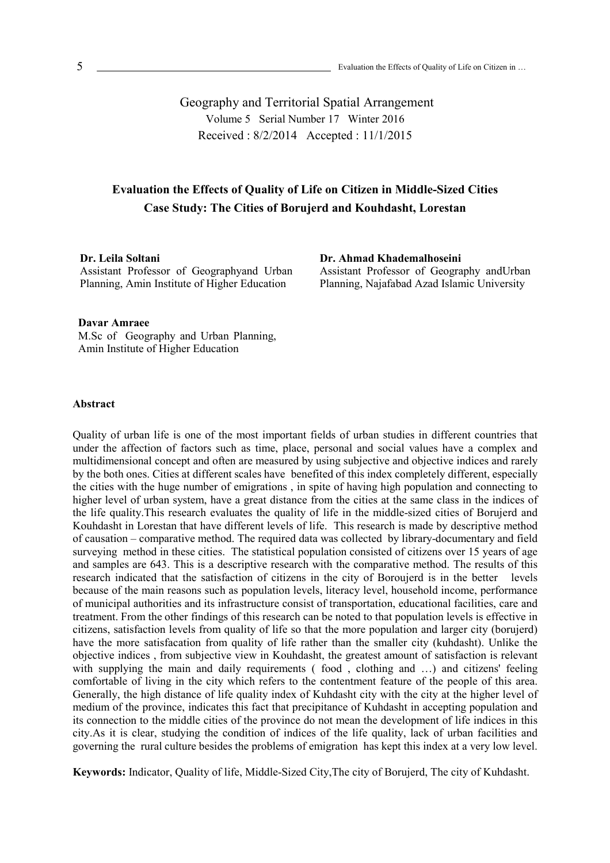Geography and Territorial Spatial Arrangement Volume 5 Serial Number 17 Winter 2016 Received : 8/2/2014 Accepted : 11/1/2015

## **Evaluation the Effects of Quality of Life on Citizen in Middle-Sized Cities Case Study: The Cities of Borujerd and Kouhdasht, Lorestan**

**Dr. Leila Soltani** 

Assistant Professor of Geographyand Urban Planning, Amin Institute of Higher Education

**Dr. Ahmad Khademalhoseini**  Assistant Professor of Geography andUrban

Planning, Najafabad Azad Islamic University

### **Davar Amraee**

M.Sc of Geography and Urban Planning, Amin Institute of Higher Education

#### **Abstract**

Quality of urban life is one of the most important fields of urban studies in different countries that under the affection of factors such as time, place, personal and social values have a complex and multidimensional concept and often are measured by using subjective and objective indices and rarely by the both ones. Cities at different scales have benefited of this index completely different, especially the cities with the huge number of emigrations , in spite of having high population and connecting to higher level of urban system, have a great distance from the cities at the same class in the indices of the life quality.This research evaluates the quality of life in the middle-sized cities of Borujerd and Kouhdasht in Lorestan that have different levels of life. This research is made by descriptive method of causation – comparative method. The required data was collected by library-documentary and field surveying method in these cities. The statistical population consisted of citizens over 15 years of age and samples are 643. This is a descriptive research with the comparative method. The results of this research indicated that the satisfaction of citizens in the city of Boroujerd is in the better levels because of the main reasons such as population levels, literacy level, household income, performance of municipal authorities and its infrastructure consist of transportation, educational facilities, care and treatment. From the other findings of this research can be noted to that population levels is effective in citizens, satisfaction levels from quality of life so that the more population and larger city (borujerd) have the more satisfacation from quality of life rather than the smaller city (kuhdasht). Unlike the objective indices , from subjective view in Kouhdasht, the greatest amount of satisfaction is relevant with supplying the main and daily requirements (food, clothing and ...) and citizens' feeling comfortable of living in the city which refers to the contentment feature of the people of this area. Generally, the high distance of life quality index of Kuhdasht city with the city at the higher level of medium of the province, indicates this fact that precipitance of Kuhdasht in accepting population and its connection to the middle cities of the province do not mean the development of life indices in this city.As it is clear, studying the condition of indices of the life quality, lack of urban facilities and governing the rural culture besides the problems of emigration has kept this index at a very low level.

**Keywords:** Indicator, Quality of life, Middle-Sized City,The city of Borujerd, The city of Kuhdasht.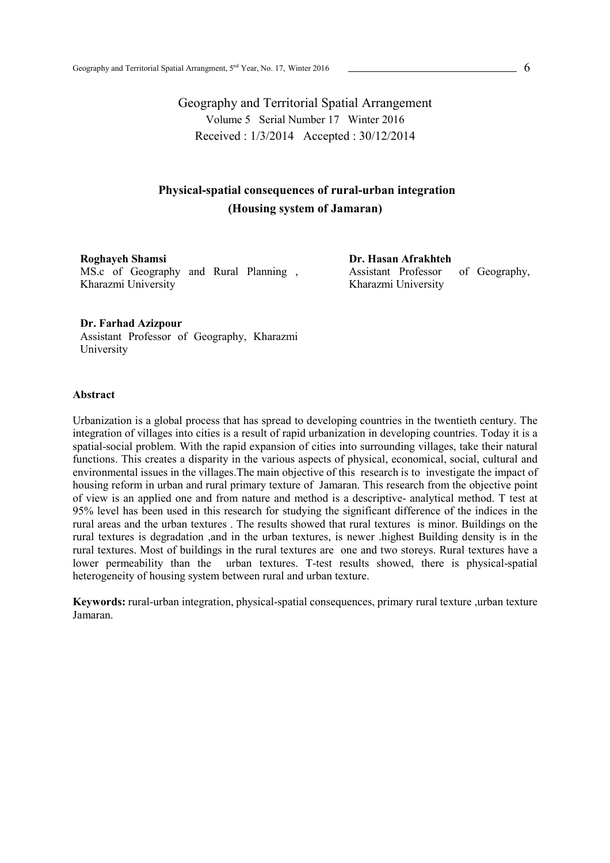Geography and Territorial Spatial Arrangement Volume 5 Serial Number 17 Winter 2016 Received : 1/3/2014 Accepted : 30/12/2014

## **Physical-spatial consequences of rural-urban integration (Housing system of Jamaran)**

**Roghayeh Shamsi**  MS.c of Geography and Rural Planning , Kharazmi University

**Dr. Hasan Afrakhteh**  Assistant Professor of Geography, Kharazmi University

**Dr. Farhad Azizpour** 

Assistant Professor of Geography, Kharazmi University

### **Abstract**

Urbanization is a global process that has spread to developing countries in the twentieth century. The integration of villages into cities is a result of rapid urbanization in developing countries. Today it is a spatial-social problem. With the rapid expansion of cities into surrounding villages, take their natural functions. This creates a disparity in the various aspects of physical, economical, social, cultural and environmental issues in the villages.The main objective of this research is to investigate the impact of housing reform in urban and rural primary texture of Jamaran. This research from the objective point of view is an applied one and from nature and method is a descriptive- analytical method. T test at 95% level has been used in this research for studying the significant difference of the indices in the rural areas and the urban textures . The results showed that rural textures is minor. Buildings on the rural textures is degradation ,and in the urban textures, is newer .highest Building density is in the rural textures. Most of buildings in the rural textures are one and two storeys. Rural textures have a lower permeability than the urban textures. T-test results showed, there is physical-spatial heterogeneity of housing system between rural and urban texture.

**Keywords:** rural-urban integration, physical-spatial consequences, primary rural texture ,urban texture Jamaran.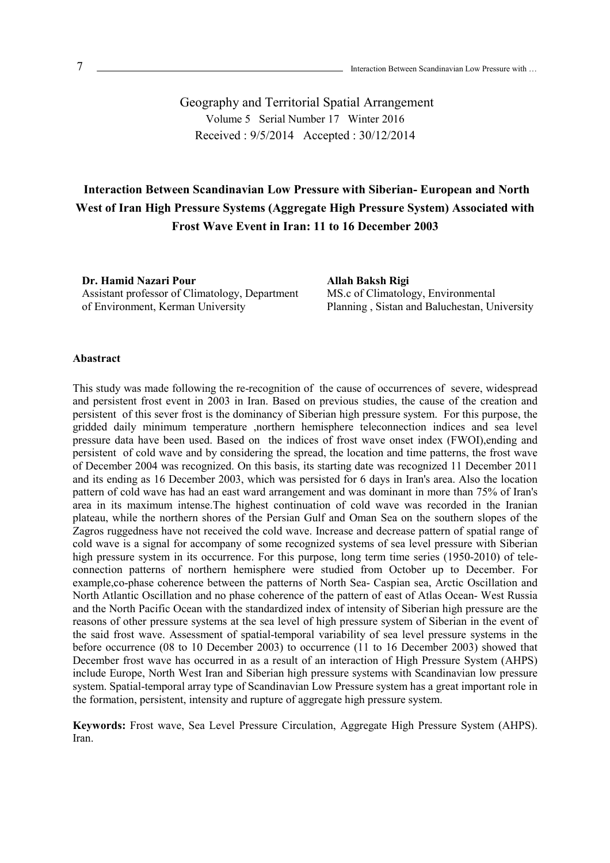Geography and Territorial Spatial Arrangement Volume 5 Serial Number 17 Winter 2016 Received : 9/5/2014 Accepted : 30/12/2014

# **Interaction Between Scandinavian Low Pressure with Siberian- European and North West of Iran High Pressure Systems (Aggregate High Pressure System) Associated with Frost Wave Event in Iran: 11 to 16 December 2003**

**Dr. Hamid Nazari Pour**  Assistant professor of Climatology, Department of Environment, Kerman University

**Allah Baksh Rigi**  MS.c of Climatology, Environmental Planning , Sistan and Baluchestan, University

#### **Abastract**

This study was made following the re-recognition of the cause of occurrences of severe, widespread and persistent frost event in 2003 in Iran. Based on previous studies, the cause of the creation and persistent of this sever frost is the dominancy of Siberian high pressure system. For this purpose, the gridded daily minimum temperature ,northern hemisphere teleconnection indices and sea level pressure data have been used. Based on the indices of frost wave onset index (FWOI),ending and persistent of cold wave and by considering the spread, the location and time patterns, the frost wave of December 2004 was recognized. On this basis, its starting date was recognized 11 December 2011 and its ending as 16 December 2003, which was persisted for 6 days in Iran's area. Also the location pattern of cold wave has had an east ward arrangement and was dominant in more than 75% of Iran's area in its maximum intense.The highest continuation of cold wave was recorded in the Iranian plateau, while the northern shores of the Persian Gulf and Oman Sea on the southern slopes of the Zagros ruggedness have not received the cold wave. Increase and decrease pattern of spatial range of cold wave is a signal for accompany of some recognized systems of sea level pressure with Siberian high pressure system in its occurrence. For this purpose, long term time series (1950-2010) of teleconnection patterns of northern hemisphere were studied from October up to December. For example,co-phase coherence between the patterns of North Sea- Caspian sea, Arctic Oscillation and North Atlantic Oscillation and no phase coherence of the pattern of east of Atlas Ocean- West Russia and the North Pacific Ocean with the standardized index of intensity of Siberian high pressure are the reasons of other pressure systems at the sea level of high pressure system of Siberian in the event of the said frost wave. Assessment of spatial-temporal variability of sea level pressure systems in the before occurrence (08 to 10 December 2003) to occurrence (11 to 16 December 2003) showed that December frost wave has occurred in as a result of an interaction of High Pressure System (AHPS) include Europe, North West Iran and Siberian high pressure systems with Scandinavian low pressure system. Spatial-temporal array type of Scandinavian Low Pressure system has a great important role in the formation, persistent, intensity and rupture of aggregate high pressure system.

**Keywords:** Frost wave, Sea Level Pressure Circulation, Aggregate High Pressure System (AHPS). Iran.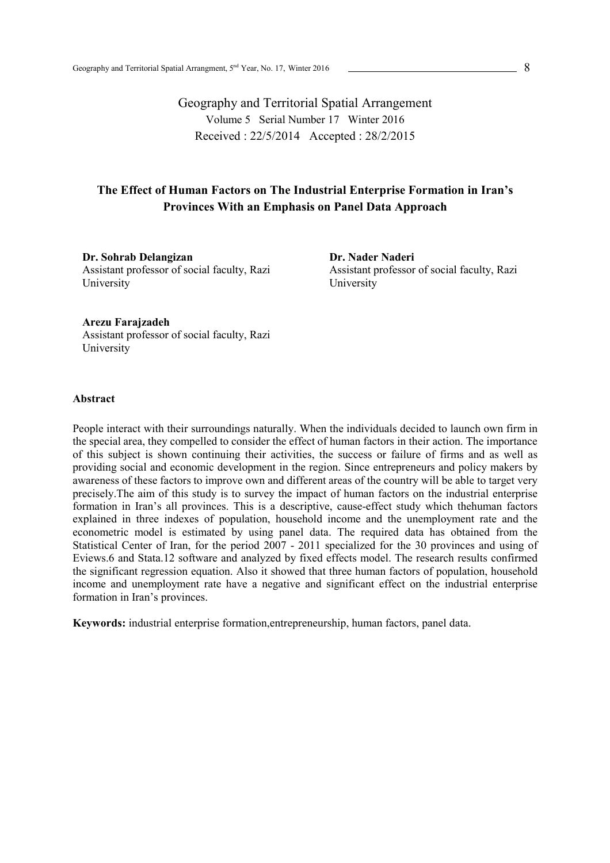Geography and Territorial Spatial Arrangement Volume 5 Serial Number 17 Winter 2016 Received : 22/5/2014 Accepted : 28/2/2015

## **The Effect of Human Factors on The Industrial Enterprise Formation in Iran's Provinces With an Emphasis on Panel Data Approach**

**Dr. Sohrab Delangizan**  Assistant professor of social faculty, Razi University

**Dr. Nader Naderi**  Assistant professor of social faculty, Razi University

### **Arezu Farajzadeh**

Assistant professor of social faculty, Razi University

### **Abstract**

People interact with their surroundings naturally. When the individuals decided to launch own firm in the special area, they compelled to consider the effect of human factors in their action. The importance of this subject is shown continuing their activities, the success or failure of firms and as well as providing social and economic development in the region. Since entrepreneurs and policy makers by awareness of these factors to improve own and different areas of the country will be able to target very precisely.The aim of this study is to survey the impact of human factors on the industrial enterprise formation in Iran's all provinces. This is a descriptive, cause-effect study which thehuman factors explained in three indexes of population, household income and the unemployment rate and the econometric model is estimated by using panel data. The required data has obtained from the Statistical Center of Iran, for the period 2007 - 2011 specialized for the 30 provinces and using of Eviews.6 and Stata.12 software and analyzed by fixed effects model. The research results confirmed the significant regression equation. Also it showed that three human factors of population, household income and unemployment rate have a negative and significant effect on the industrial enterprise formation in Iran's provinces.

**Keywords:** industrial enterprise formation,entrepreneurship, human factors, panel data.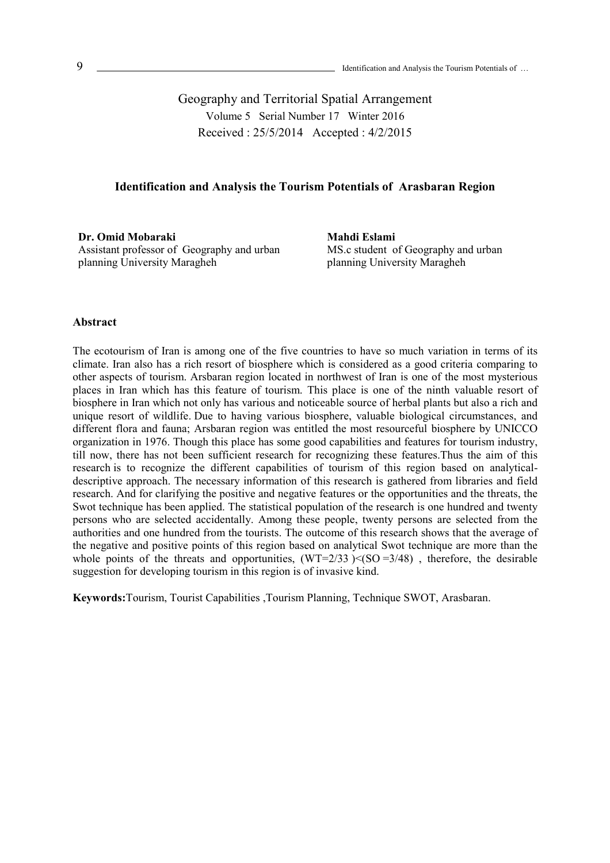Geography and Territorial Spatial Arrangement Volume 5 Serial Number 17 Winter 2016 Received : 25/5/2014 Accepted : 4/2/2015

### **Identification and Analysis the Tourism Potentials of Arasbaran Region**

**Dr. Omid Mobaraki**  Assistant professor of Geography and urban planning University Maragheh

**Mahdi Eslami**  MS.c student of Geography and urban planning University Maragheh

### **Abstract**

The ecotourism of Iran is among one of the five countries to have so much variation in terms of its climate. Iran also has a rich resort of biosphere which is considered as a good criteria comparing to other aspects of tourism. Arsbaran region located in northwest of Iran is one of the most mysterious places in Iran which has this feature of tourism. This place is one of the ninth valuable resort of biosphere in Iran which not only has various and noticeable source of herbal plants but also a rich and unique resort of wildlife. Due to having various biosphere, valuable biological circumstances, and different flora and fauna; Arsbaran region was entitled the most resourceful biosphere by UNICCO organization in 1976. Though this place has some good capabilities and features for tourism industry, till now, there has not been sufficient research for recognizing these features.Thus the aim of this research is to recognize the different capabilities of tourism of this region based on analyticaldescriptive approach. The necessary information of this research is gathered from libraries and field research. And for clarifying the positive and negative features or the opportunities and the threats, the Swot technique has been applied. The statistical population of the research is one hundred and twenty persons who are selected accidentally. Among these people, twenty persons are selected from the authorities and one hundred from the tourists. The outcome of this research shows that the average of the negative and positive points of this region based on analytical Swot technique are more than the whole points of the threats and opportunities,  $(WT=2/33)$  <(SO =3/48), therefore, the desirable suggestion for developing tourism in this region is of invasive kind.

**Keywords:**Tourism, Tourist Capabilities ,Tourism Planning, Technique SWOT, Arasbaran.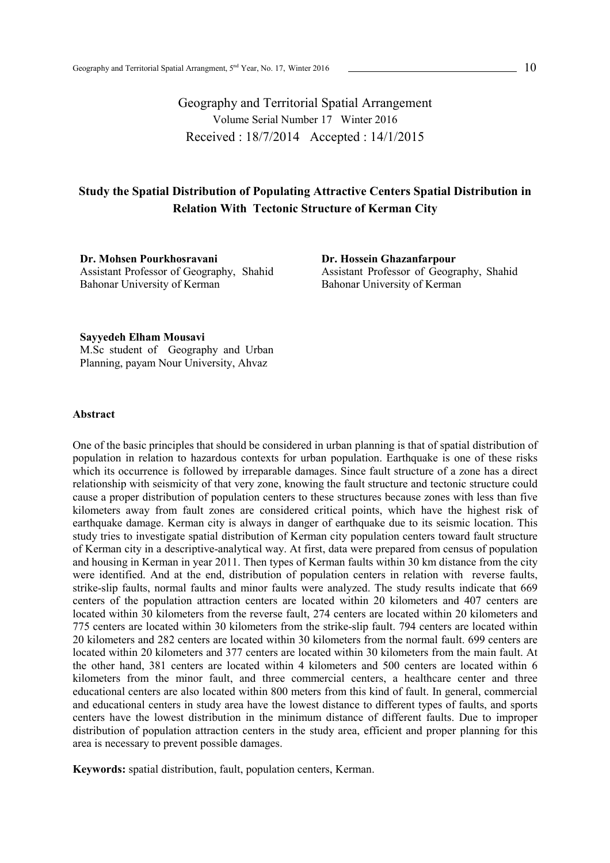Geography and Territorial Spatial Arrangement Volume Serial Number 17 Winter 2016 Received : 18/7/2014 Accepted : 14/1/2015

## **Study the Spatial Distribution of Populating Attractive Centers Spatial Distribution in Relation With Tectonic Structure of Kerman City**

**Dr. Mohsen Pourkhosravani**  Assistant Professor of Geography, Shahid Bahonar University of Kerman

**Dr. Hossein Ghazanfarpour**  Assistant Professor of Geography, Shahid Bahonar University of Kerman

**Sayyedeh Elham Mousavi**  M.Sc student of Geography and Urban Planning, payam Nour University, Ahvaz

### **Abstract**

One of the basic principles that should be considered in urban planning is that of spatial distribution of population in relation to hazardous contexts for urban population. Earthquake is one of these risks which its occurrence is followed by irreparable damages. Since fault structure of a zone has a direct relationship with seismicity of that very zone, knowing the fault structure and tectonic structure could cause a proper distribution of population centers to these structures because zones with less than five kilometers away from fault zones are considered critical points, which have the highest risk of earthquake damage. Kerman city is always in danger of earthquake due to its seismic location. This study tries to investigate spatial distribution of Kerman city population centers toward fault structure of Kerman city in a descriptive-analytical way. At first, data were prepared from census of population and housing in Kerman in year 2011. Then types of Kerman faults within 30 km distance from the city were identified. And at the end, distribution of population centers in relation with reverse faults, strike-slip faults, normal faults and minor faults were analyzed. The study results indicate that 669 centers of the population attraction centers are located within 20 kilometers and 407 centers are located within 30 kilometers from the reverse fault, 274 centers are located within 20 kilometers and 775 centers are located within 30 kilometers from the strike-slip fault. 794 centers are located within 20 kilometers and 282 centers are located within 30 kilometers from the normal fault. 699 centers are located within 20 kilometers and 377 centers are located within 30 kilometers from the main fault. At the other hand, 381 centers are located within 4 kilometers and 500 centers are located within 6 kilometers from the minor fault, and three commercial centers, a healthcare center and three educational centers are also located within 800 meters from this kind of fault. In general, commercial and educational centers in study area have the lowest distance to different types of faults, and sports centers have the lowest distribution in the minimum distance of different faults. Due to improper distribution of population attraction centers in the study area, efficient and proper planning for this area is necessary to prevent possible damages.

**Keywords:** spatial distribution, fault, population centers, Kerman.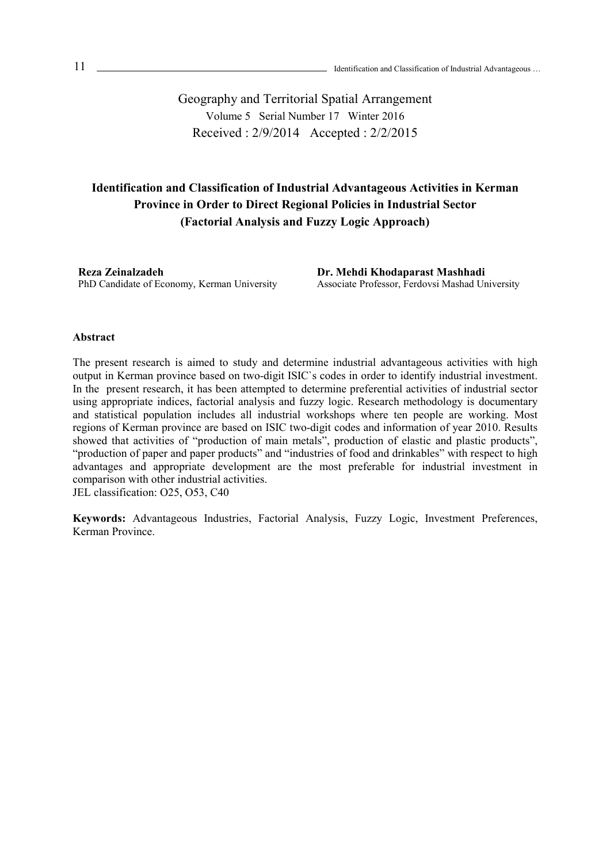Geography and Territorial Spatial Arrangement Volume 5 Serial Number 17 Winter 2016 Received : 2/9/2014 Accepted : 2/2/2015

## **Identification and Classification of Industrial Advantageous Activities in Kerman Province in Order to Direct Regional Policies in Industrial Sector (Factorial Analysis and Fuzzy Logic Approach)**

**Reza Zeinalzadeh**  PhD Candidate of Economy, Kerman University **Dr. Mehdi Khodaparast Mashhadi**  Associate Professor, Ferdovsi Mashad University

### **Abstract**

The present research is aimed to study and determine industrial advantageous activities with high output in Kerman province based on two-digit ISIC`s codes in order to identify industrial investment. In the present research, it has been attempted to determine preferential activities of industrial sector using appropriate indices, factorial analysis and fuzzy logic. Research methodology is documentary and statistical population includes all industrial workshops where ten people are working. Most regions of Kerman province are based on ISIC two-digit codes and information of year 2010. Results showed that activities of "production of main metals", production of elastic and plastic products", "production of paper and paper products" and "industries of food and drinkables" with respect to high advantages and appropriate development are the most preferable for industrial investment in comparison with other industrial activities.

JEL classification: O25, O53, C40

**Keywords:** Advantageous Industries, Factorial Analysis, Fuzzy Logic, Investment Preferences, Kerman Province.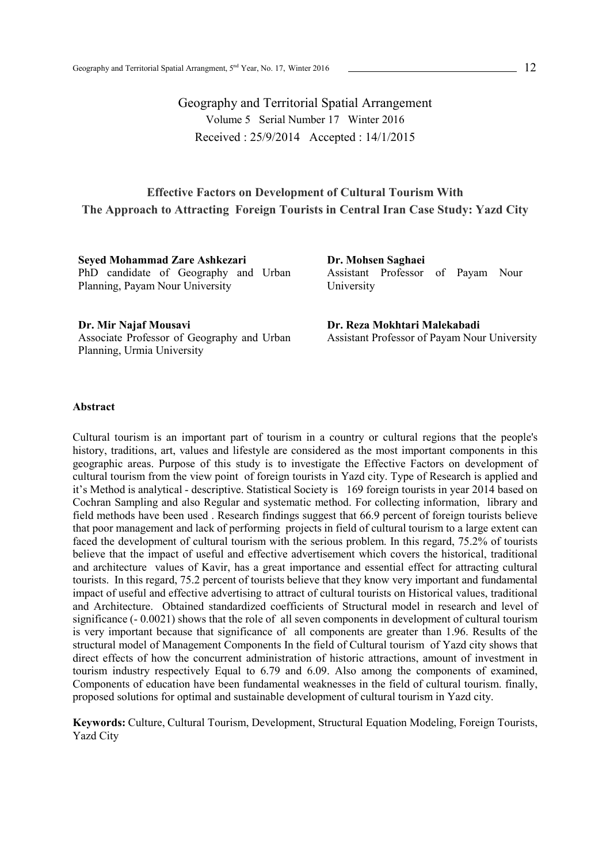Geography and Territorial Spatial Arrangement Volume 5 Serial Number 17 Winter 2016 Received : 25/9/2014 Accepted : 14/1/2015

### **Effective Factors on Development of Cultural Tourism With The Approach to Attracting Foreign Tourists in Central Iran Case Study: Yazd City**

**Seyed Mohammad Zare Ashkezari**  PhD candidate of Geography and Urban Planning, Payam Nour University

**Dr. Mohsen Saghaei**  Assistant Professor of Payam Nour University

**Dr. Mir Najaf Mousavi**  Associate Professor of Geography and Urban Planning, Urmia University

**Dr. Reza Mokhtari Malekabadi**  Assistant Professor of Payam Nour University

### **Abstract**

Cultural tourism is an important part of tourism in a country or cultural regions that the people's history, traditions, art, values and lifestyle are considered as the most important components in this geographic areas. Purpose of this study is to investigate the Effective Factors on development of cultural tourism from the view point of foreign tourists in Yazd city. Type of Research is applied and it's Method is analytical - descriptive. Statistical Society is 169 foreign tourists in year 2014 based on Cochran Sampling and also Regular and systematic method. For collecting information, library and field methods have been used . Research findings suggest that 66.9 percent of foreign tourists believe that poor management and lack of performing projects in field of cultural tourism to a large extent can faced the development of cultural tourism with the serious problem. In this regard, 75.2% of tourists believe that the impact of useful and effective advertisement which covers the historical, traditional and architecture values of Kavir, has a great importance and essential effect for attracting cultural tourists. In this regard, 75.2 percent of tourists believe that they know very important and fundamental impact of useful and effective advertising to attract of cultural tourists on Historical values, traditional and Architecture. Obtained standardized coefficients of Structural model in research and level of significance (- 0.0021) shows that the role of all seven components in development of cultural tourism is very important because that significance of all components are greater than 1.96. Results of the structural model of Management Components In the field of Cultural tourism of Yazd city shows that direct effects of how the concurrent administration of historic attractions, amount of investment in tourism industry respectively Equal to 6.79 and 6.09. Also among the components of examined, Components of education have been fundamental weaknesses in the field of cultural tourism. finally, proposed solutions for optimal and sustainable development of cultural tourism in Yazd city.

**Keywords:** Culture, Cultural Tourism, Development, Structural Equation Modeling, Foreign Tourists, Yazd City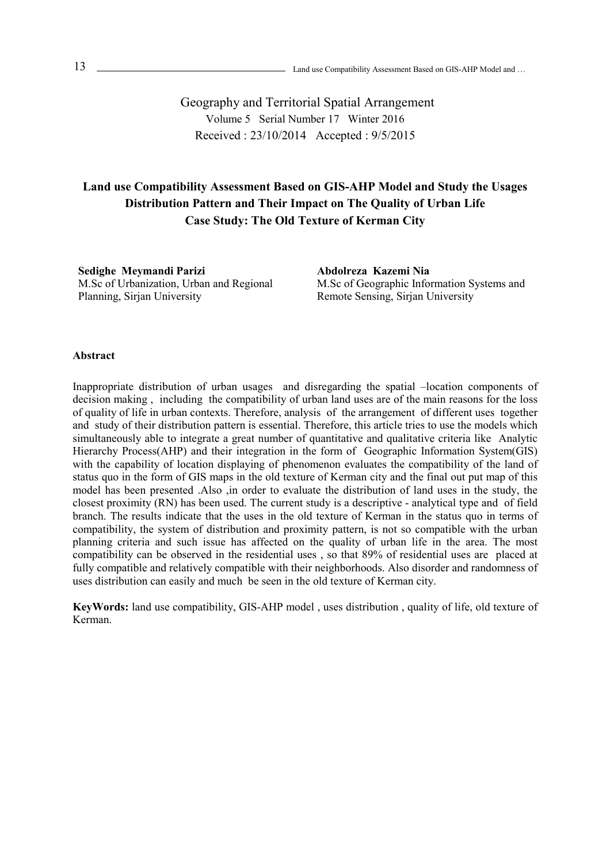Geography and Territorial Spatial Arrangement Volume 5 Serial Number 17 Winter 2016 Received : 23/10/2014 Accepted : 9/5/2015

## **Land use Compatibility Assessment Based on GIS-AHP Model and Study the Usages Distribution Pattern and Their Impact on The Quality of Urban Life Case Study: The Old Texture of Kerman City**

**Sedighe Meymandi Parizi**  M.Sc of Urbanization, Urban and Regional Planning, Sirjan University

**Abdolreza Kazemi Nia**  M.Sc of Geographic Information Systems and Remote Sensing, Sirjan University

### **Abstract**

Inappropriate distribution of urban usages and disregarding the spatial –location components of decision making , including the compatibility of urban land uses are of the main reasons for the loss of quality of life in urban contexts. Therefore, analysis of the arrangement of different uses together and study of their distribution pattern is essential. Therefore, this article tries to use the models which simultaneously able to integrate a great number of quantitative and qualitative criteria like Analytic Hierarchy Process(AHP) and their integration in the form of Geographic Information System(GIS) with the capability of location displaying of phenomenon evaluates the compatibility of the land of status quo in the form of GIS maps in the old texture of Kerman city and the final out put map of this model has been presented .Also ,in order to evaluate the distribution of land uses in the study, the closest proximity (RN) has been used. The current study is a descriptive - analytical type and of field branch. The results indicate that the uses in the old texture of Kerman in the status quo in terms of compatibility, the system of distribution and proximity pattern, is not so compatible with the urban planning criteria and such issue has affected on the quality of urban life in the area. The most compatibility can be observed in the residential uses , so that 89% of residential uses are placed at fully compatible and relatively compatible with their neighborhoods. Also disorder and randomness of uses distribution can easily and much be seen in the old texture of Kerman city.

**KeyWords:** land use compatibility, GIS-AHP model , uses distribution , quality of life, old texture of Kerman.